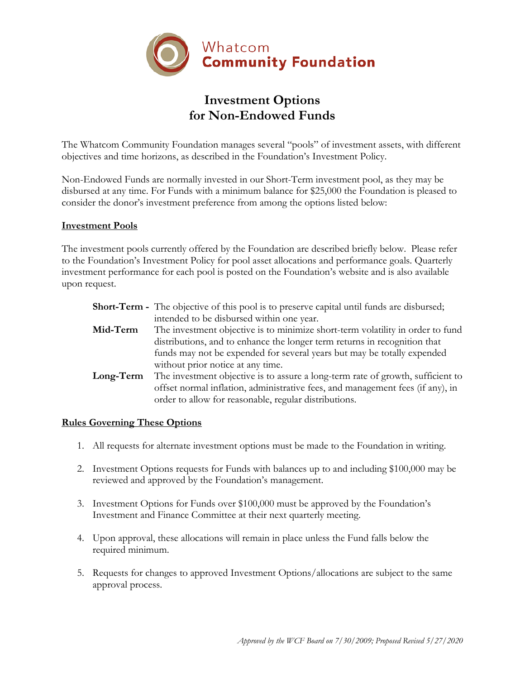

# **Investment Options for Non-Endowed Funds**

The Whatcom Community Foundation manages several "pools" of investment assets, with different objectives and time horizons, as described in the Foundation's Investment Policy.

Non-Endowed Funds are normally invested in our Short-Term investment pool, as they may be disbursed at any time. For Funds with a minimum balance for \$25,000 the Foundation is pleased to consider the donor's investment preference from among the options listed below:

#### **Investment Pools**

The investment pools currently offered by the Foundation are described briefly below. Please refer to the Foundation's Investment Policy for pool asset allocations and performance goals. Quarterly investment performance for each pool is posted on the Foundation's website and is also available upon request.

| <b>Short-Term</b> - The objective of this pool is to preserve capital until funds are disbursed;                                                                                                                           |
|----------------------------------------------------------------------------------------------------------------------------------------------------------------------------------------------------------------------------|
| intended to be disbursed within one year.                                                                                                                                                                                  |
| The investment objective is to minimize short-term volatility in order to fund                                                                                                                                             |
| distributions, and to enhance the longer term returns in recognition that                                                                                                                                                  |
| funds may not be expended for several years but may be totally expended                                                                                                                                                    |
| without prior notice at any time.                                                                                                                                                                                          |
| The investment objective is to assure a long-term rate of growth, sufficient to<br>offset normal inflation, administrative fees, and management fees (if any), in<br>order to allow for reasonable, regular distributions. |
|                                                                                                                                                                                                                            |

### **Rules Governing These Options**

- 1. All requests for alternate investment options must be made to the Foundation in writing.
- 2. Investment Options requests for Funds with balances up to and including \$100,000 may be reviewed and approved by the Foundation's management.
- 3. Investment Options for Funds over \$100,000 must be approved by the Foundation's Investment and Finance Committee at their next quarterly meeting.
- 4. Upon approval, these allocations will remain in place unless the Fund falls below the required minimum.
- 5. Requests for changes to approved Investment Options/allocations are subject to the same approval process.